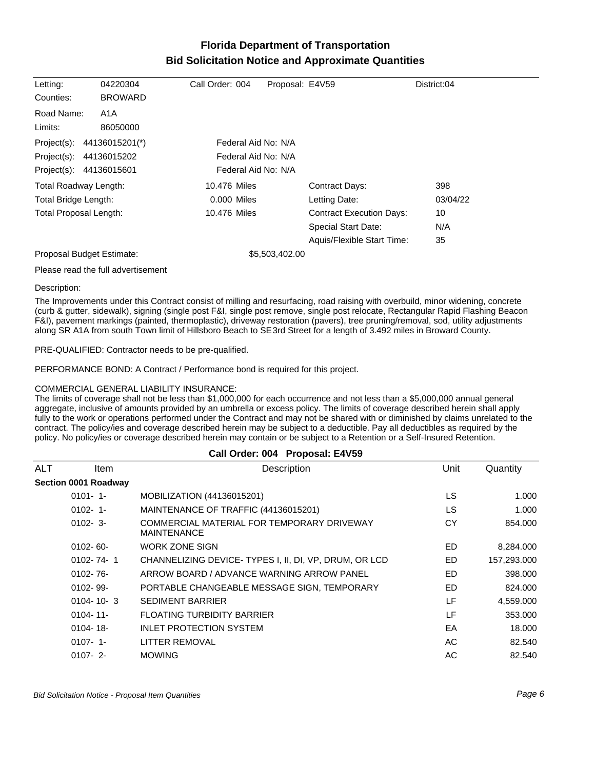## **Florida Department of Transportation Bid Solicitation Notice and Approximate Quantities**

| Letting:                      | 04220304       | Call Order: 004     | Proposal: E4V59 |                                 | District:04 |
|-------------------------------|----------------|---------------------|-----------------|---------------------------------|-------------|
| Counties:                     | <b>BROWARD</b> |                     |                 |                                 |             |
| Road Name:                    | A1A            |                     |                 |                                 |             |
| Limits:                       | 86050000       |                     |                 |                                 |             |
| Project(s):                   | 44136015201(*) | Federal Aid No: N/A |                 |                                 |             |
| Project(s):                   | 44136015202    | Federal Aid No: N/A |                 |                                 |             |
| Project(s): 44136015601       |                | Federal Aid No: N/A |                 |                                 |             |
| Total Roadway Length:         |                | 10.476 Miles        |                 | <b>Contract Days:</b>           | 398         |
| Total Bridge Length:          |                | $0.000$ Miles       |                 | Letting Date:                   | 03/04/22    |
| <b>Total Proposal Length:</b> |                | 10.476 Miles        |                 | <b>Contract Execution Days:</b> | 10          |
|                               |                |                     |                 | Special Start Date:             | N/A         |
|                               |                |                     |                 | Aquis/Flexible Start Time:      | 35          |
| Proposal Budget Estimate:     |                |                     | \$5,503,402.00  |                                 |             |

Please read the full advertisement

Description:

The Improvements under this Contract consist of milling and resurfacing, road raising with overbuild, minor widening, concrete (curb & gutter, sidewalk), signing (single post F&I, single post remove, single post relocate, Rectangular Rapid Flashing Beacon F&I), pavement markings (painted, thermoplastic), driveway restoration (pavers), tree pruning/removal, sod, utility adjustments along SR A1A from south Town limit of Hillsboro Beach to SE 3rd Street for a length of 3.492 miles in Broward County.

PRE-QUALIFIED: Contractor needs to be pre-qualified.

PERFORMANCE BOND: A Contract / Performance bond is required for this project.

## COMMERCIAL GENERAL LIABILITY INSURANCE:

The limits of coverage shall not be less than \$1,000,000 for each occurrence and not less than a \$5,000,000 annual general aggregate, inclusive of amounts provided by an umbrella or excess policy. The limits of coverage described herein shall apply fully to the work or operations performed under the Contract and may not be shared with or diminished by claims unrelated to the contract. The policy/ies and coverage described herein may be subject to a deductible. Pay all deductibles as required by the policy. No policy/ies or coverage described herein may contain or be subject to a Retention or a Self-Insured Retention.

| Call Order: 004 Proposal: E4V59 |                      |                                                                  |           |             |
|---------------------------------|----------------------|------------------------------------------------------------------|-----------|-------------|
| <b>ALT</b>                      | ltem                 | Description                                                      | Unit      | Quantity    |
|                                 | Section 0001 Roadway |                                                                  |           |             |
|                                 | $0101 - 1$           | MOBILIZATION (44136015201)                                       | LS.       | 1.000       |
|                                 | $0102 - 1$           | MAINTENANCE OF TRAFFIC (44136015201)                             | LS        | 1.000       |
|                                 | $0102 - 3$ -         | COMMERCIAL MATERIAL FOR TEMPORARY DRIVEWAY<br><b>MAINTENANCE</b> | <b>CY</b> | 854.000     |
|                                 | $0102 - 60 -$        | <b>WORK ZONE SIGN</b>                                            | ED        | 8,284.000   |
|                                 | $0102 - 74 - 1$      | CHANNELIZING DEVICE-TYPES I, II, DI, VP, DRUM, OR LCD            | ED        | 157,293.000 |
|                                 | $0102 - 76 -$        | ARROW BOARD / ADVANCE WARNING ARROW PANEL                        | ED.       | 398,000     |
|                                 | $0102 - 99 -$        | PORTABLE CHANGEABLE MESSAGE SIGN, TEMPORARY                      | ED.       | 824.000     |
|                                 | $0104 - 10 - 3$      | <b>SEDIMENT BARRIER</b>                                          | LF        | 4,559.000   |
|                                 | $0104 - 11$          | <b>FLOATING TURBIDITY BARRIER</b>                                | LF        | 353,000     |
|                                 | $0104 - 18 -$        | <b>INLET PROTECTION SYSTEM</b>                                   | EA        | 18.000      |
|                                 | $0107 - 1$           | LITTER REMOVAL                                                   | AC        | 82.540      |
|                                 | $0107 - 2$           | <b>MOWING</b>                                                    | AC        | 82.540      |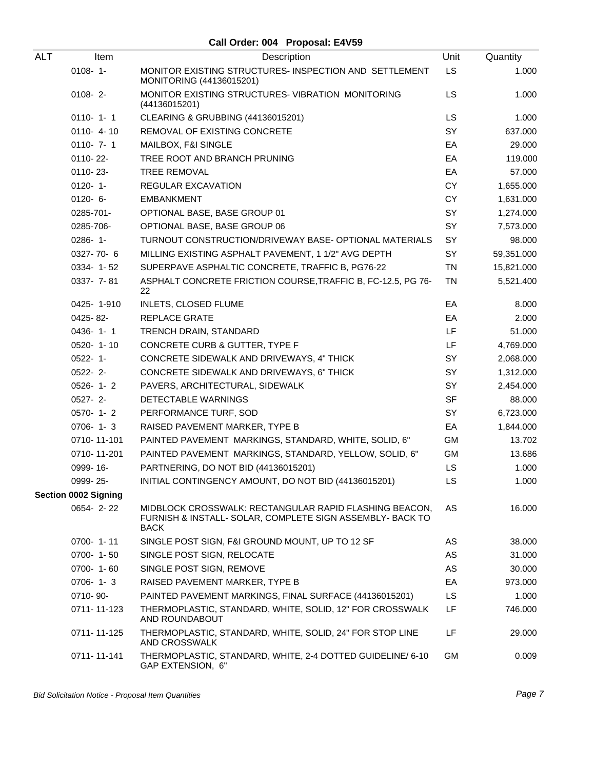## **Call Order: 004 Proposal: E4V59**

| <b>ALT</b> | Item                        | Description                                                                                                                        | Unit      | Quantity   |
|------------|-----------------------------|------------------------------------------------------------------------------------------------------------------------------------|-----------|------------|
|            | $0108 - 1 -$                | MONITOR EXISTING STRUCTURES- INSPECTION AND SETTLEMENT<br>MONITORING (44136015201)                                                 | <b>LS</b> | 1.000      |
|            | $0108 - 2 -$                | MONITOR EXISTING STRUCTURES-VIBRATION MONITORING<br>(44136015201)                                                                  | <b>LS</b> | 1.000      |
|            | $0110 - 1 - 1$              | CLEARING & GRUBBING (44136015201)                                                                                                  | LS        | 1.000      |
|            | $0110 - 4 - 10$             | REMOVAL OF EXISTING CONCRETE                                                                                                       | SY        | 637.000    |
|            | $0110 - 7 - 1$              | MAILBOX, F&I SINGLE                                                                                                                | EA        | 29.000     |
|            | 0110-22-                    | TREE ROOT AND BRANCH PRUNING                                                                                                       | EA        | 119.000    |
|            | 0110-23-                    | <b>TREE REMOVAL</b>                                                                                                                | EA        | 57.000     |
|            | $0120 - 1$                  | REGULAR EXCAVATION                                                                                                                 | <b>CY</b> | 1,655.000  |
|            | $0120 - 6 -$                | <b>EMBANKMENT</b>                                                                                                                  | <b>CY</b> | 1,631.000  |
|            | 0285-701-                   | OPTIONAL BASE, BASE GROUP 01                                                                                                       | SY        | 1,274.000  |
|            | 0285-706-                   | OPTIONAL BASE, BASE GROUP 06                                                                                                       | SY        | 7,573.000  |
|            | 0286-1-                     | TURNOUT CONSTRUCTION/DRIVEWAY BASE- OPTIONAL MATERIALS                                                                             | SY        | 98.000     |
|            | 0327-70-6                   | MILLING EXISTING ASPHALT PAVEMENT, 1 1/2" AVG DEPTH                                                                                | SY        | 59,351.000 |
|            | 0334-1-52                   | SUPERPAVE ASPHALTIC CONCRETE, TRAFFIC B, PG76-22                                                                                   | <b>TN</b> | 15,821.000 |
|            | 0337- 7-81                  | ASPHALT CONCRETE FRICTION COURSE, TRAFFIC B, FC-12.5, PG 76-<br>22                                                                 | <b>TN</b> | 5,521.400  |
|            | 0425-1-910                  | INLETS, CLOSED FLUME                                                                                                               | EA        | 8.000      |
|            | 0425-82-                    | REPLACE GRATE                                                                                                                      | EA        | 2.000      |
|            | $0436 - 1 - 1$              | TRENCH DRAIN, STANDARD                                                                                                             | LF        | 51.000     |
|            | 0520-1-10                   | CONCRETE CURB & GUTTER, TYPE F                                                                                                     | LF        | 4,769.000  |
|            | $0522 - 1 -$                | CONCRETE SIDEWALK AND DRIVEWAYS, 4" THICK                                                                                          | SY        | 2,068.000  |
|            | $0522 - 2$ -                | CONCRETE SIDEWALK AND DRIVEWAYS, 6" THICK                                                                                          | SY        | 1,312.000  |
|            | $0526 - 1 - 2$              | PAVERS, ARCHITECTURAL, SIDEWALK                                                                                                    | SY        | 2,454.000  |
|            | 0527-2-                     | DETECTABLE WARNINGS                                                                                                                | <b>SF</b> | 88.000     |
|            | $0570 - 1 - 2$              | PERFORMANCE TURF, SOD                                                                                                              | SY        | 6,723.000  |
|            | $0706 - 1 - 3$              | RAISED PAVEMENT MARKER, TYPE B                                                                                                     | EA        | 1,844.000  |
|            | 0710-11-101                 | PAINTED PAVEMENT MARKINGS, STANDARD, WHITE, SOLID, 6"                                                                              | GM        | 13.702     |
|            | 0710-11-201                 | PAINTED PAVEMENT MARKINGS, STANDARD, YELLOW, SOLID, 6"                                                                             | GM        | 13.686     |
|            | 0999-16-                    | PARTNERING, DO NOT BID (44136015201)                                                                                               | LS        | 1.000      |
|            | 0999-25-                    | INITIAL CONTINGENCY AMOUNT, DO NOT BID (44136015201)                                                                               | LS.       | 1.000      |
|            | <b>Section 0002 Signing</b> |                                                                                                                                    |           |            |
|            | $0654 - 2 - 22$             | MIDBLOCK CROSSWALK: RECTANGULAR RAPID FLASHING BEACON,<br>FURNISH & INSTALL- SOLAR, COMPLETE SIGN ASSEMBLY- BACK TO<br><b>BACK</b> | AS        | 16.000     |
|            | 0700-1-11                   | SINGLE POST SIGN, F&I GROUND MOUNT, UP TO 12 SF                                                                                    | AS        | 38.000     |
|            | $0700 - 1 - 50$             | SINGLE POST SIGN, RELOCATE                                                                                                         | AS        | 31.000     |
|            | 0700-1-60                   | SINGLE POST SIGN, REMOVE                                                                                                           | AS        | 30.000     |
|            | $0706 - 1 - 3$              | RAISED PAVEMENT MARKER, TYPE B                                                                                                     | EA        | 973.000    |
|            | 0710-90-                    | PAINTED PAVEMENT MARKINGS, FINAL SURFACE (44136015201)                                                                             | <b>LS</b> | 1.000      |
|            | 0711-11-123                 | THERMOPLASTIC, STANDARD, WHITE, SOLID, 12" FOR CROSSWALK<br>AND ROUNDABOUT                                                         | LF        | 746.000    |
|            | 0711-11-125                 | THERMOPLASTIC, STANDARD, WHITE, SOLID, 24" FOR STOP LINE<br>AND CROSSWALK                                                          | LF        | 29.000     |
|            | 0711-11-141                 | THERMOPLASTIC, STANDARD, WHITE, 2-4 DOTTED GUIDELINE/ 6-10<br>GAP EXTENSION, 6"                                                    | <b>GM</b> | 0.009      |